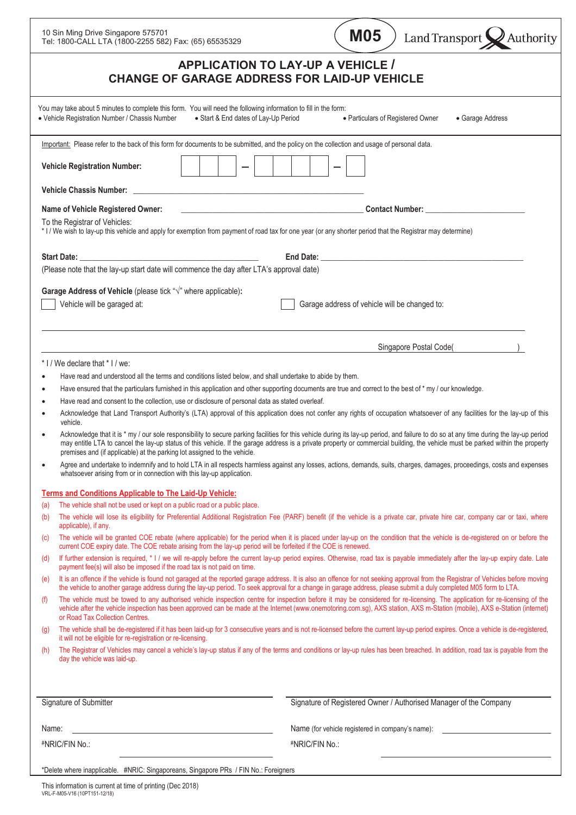| 10 Sin Ming Drive Singapore 575701<br>Tel: 1800-CALL LTA (1800-2255 582) Fax: (65) 65535329                                                                                                                | <b>M05</b><br>Land Transport Authority                                                                                                                                                                                                                                                                                                                                     |
|------------------------------------------------------------------------------------------------------------------------------------------------------------------------------------------------------------|----------------------------------------------------------------------------------------------------------------------------------------------------------------------------------------------------------------------------------------------------------------------------------------------------------------------------------------------------------------------------|
| <b>APPLICATION TO LAY-UP A VEHICLE /</b><br><b>CHANGE OF GARAGE ADDRESS FOR LAID-UP VEHICLE</b>                                                                                                            |                                                                                                                                                                                                                                                                                                                                                                            |
| You may take about 5 minutes to complete this form. You will need the following information to fill in the form:<br>• Vehicle Registration Number / Chassis Number<br>• Start & End dates of Lay-Up Period | • Particulars of Registered Owner<br>• Garage Address                                                                                                                                                                                                                                                                                                                      |
| Important: Please refer to the back of this form for documents to be submitted, and the policy on the collection and usage of personal data.                                                               |                                                                                                                                                                                                                                                                                                                                                                            |
| <b>Vehicle Registration Number:</b>                                                                                                                                                                        |                                                                                                                                                                                                                                                                                                                                                                            |
| <b>Vehicle Chassis Number:</b><br>the control of the control of the control of the control of the control of the control of                                                                                |                                                                                                                                                                                                                                                                                                                                                                            |
| Name of Vehicle Registered Owner:<br>To the Registrar of Vehicles:                                                                                                                                         | <u> 1989 - Johann Barn, mars eta bainar eta baina eta baina eta baina eta baina eta baina eta baina eta baina e</u> ta                                                                                                                                                                                                                                                     |
| * I / We wish to lay-up this vehicle and apply for exemption from payment of road tax for one year (or any shorter period that the Registrar may determine)                                                |                                                                                                                                                                                                                                                                                                                                                                            |
|                                                                                                                                                                                                            |                                                                                                                                                                                                                                                                                                                                                                            |
| (Please note that the lay-up start date will commence the day after LTA's approval date)                                                                                                                   |                                                                                                                                                                                                                                                                                                                                                                            |
| Garage Address of Vehicle (please tick " $\sqrt{ }$ " where applicable):<br>Vehicle will be garaged at:                                                                                                    | Garage address of vehicle will be changed to:                                                                                                                                                                                                                                                                                                                              |
|                                                                                                                                                                                                            | Singapore Postal Code(                                                                                                                                                                                                                                                                                                                                                     |
| * I / We declare that * I / we:                                                                                                                                                                            |                                                                                                                                                                                                                                                                                                                                                                            |
| Have read and understood all the terms and conditions listed below, and shall undertake to abide by them.                                                                                                  |                                                                                                                                                                                                                                                                                                                                                                            |
| ٠<br>Have read and consent to the collection, use or disclosure of personal data as stated overleaf.                                                                                                       | Have ensured that the particulars furnished in this application and other supporting documents are true and correct to the best of * my / our knowledge.                                                                                                                                                                                                                   |
|                                                                                                                                                                                                            | Acknowledge that Land Transport Authority's (LTA) approval of this application does not confer any rights of occupation whatsoever of any facilities for the lay-up of this                                                                                                                                                                                                |
| vehicle.<br>premises and (if applicable) at the parking lot assigned to the vehicle.                                                                                                                       | Acknowledge that it is * my / our sole responsibility to secure parking facilities for this vehicle during its lay-up period, and failure to do so at any time during the lay-up period<br>may entitle LTA to cancel the lay-up status of this vehicle. If the garage address is a private property or commercial building, the vehicle must be parked within the property |
| whatsoever arising from or in connection with this lay-up application.                                                                                                                                     | Agree and undertake to indemnify and to hold LTA in all respects harmless against any losses, actions, demands, suits, charges, damages, proceedings, costs and expenses                                                                                                                                                                                                   |
| <b>Terms and Conditions Applicable to The Laid-Up Vehicle:</b>                                                                                                                                             |                                                                                                                                                                                                                                                                                                                                                                            |
| The vehicle shall not be used or kept on a public road or a public place.<br>(a)<br>(b)                                                                                                                    | The vehicle will lose its eligibility for Preferential Additional Registration Fee (PARF) benefit (if the vehicle is a private car, private hire car, company car or taxi, where                                                                                                                                                                                           |
| applicable), if any.                                                                                                                                                                                       |                                                                                                                                                                                                                                                                                                                                                                            |
| (c)<br>current COE expiry date. The COE rebate arising from the lay-up period will be forfeited if the COE is renewed.                                                                                     | The vehicle will be granted COE rebate (where applicable) for the period when it is placed under lay-up on the condition that the vehicle is de-registered on or before the                                                                                                                                                                                                |
| (d)<br>payment fee(s) will also be imposed if the road tax is not paid on time.                                                                                                                            | If further extension is required, * I / we will re-apply before the current lay-up period expires. Otherwise, road tax is payable immediately after the lay-up expiry date. Late                                                                                                                                                                                           |
| (e)                                                                                                                                                                                                        | It is an offence if the vehicle is found not garaged at the reported garage address. It is also an offence for not seeking approval from the Registrar of Vehicles before moving<br>the vehicle to another garage address during the lay-up period. To seek approval for a change in garage address, please submit a duly completed M05 form to LTA.                       |
| (f)<br>or Road Tax Collection Centres.                                                                                                                                                                     | The vehicle must be towed to any authorised vehicle inspection centre for inspection before it may be considered for re-licensing. The application for re-licensing of the<br>vehicle after the vehicle inspection has been approved can be made at the Internet (www.onemotoring.com.sg), AXS station, AXS m-Station (mobile), AXS e-Station (internet)                   |
| $\left( q\right)$<br>it will not be eligible for re-registration or re-licensing.                                                                                                                          | The vehicle shall be de-registered if it has been laid-up for 3 consecutive years and is not re-licensed before the current lay-up period expires. Once a vehicle is de-registered,                                                                                                                                                                                        |
| (h)<br>day the vehicle was laid-up.                                                                                                                                                                        | The Registrar of Vehicles may cancel a vehicle's lay-up status if any of the terms and conditions or lay-up rules has been breached. In addition, road tax is payable from the                                                                                                                                                                                             |
|                                                                                                                                                                                                            |                                                                                                                                                                                                                                                                                                                                                                            |
| Signature of Submitter                                                                                                                                                                                     | Signature of Registered Owner / Authorised Manager of the Company                                                                                                                                                                                                                                                                                                          |
| Name:                                                                                                                                                                                                      | Name (for vehicle registered in company's name):                                                                                                                                                                                                                                                                                                                           |
| #NRIC/FIN No.:                                                                                                                                                                                             | #NRIC/FIN No.:                                                                                                                                                                                                                                                                                                                                                             |
| *Delete where inapplicable. #NRIC: Singaporeans, Singapore PRs / FIN No.: Foreigners                                                                                                                       |                                                                                                                                                                                                                                                                                                                                                                            |

 $\overline{\phantom{0}}$